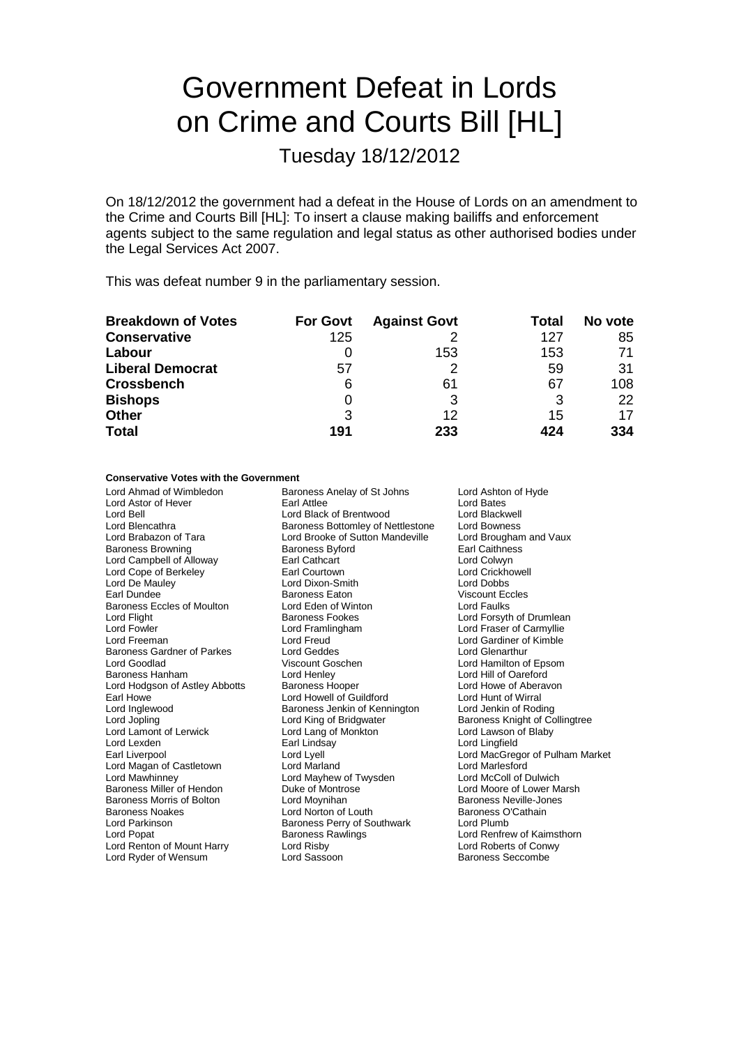# Government Defeat in Lords on Crime and Courts Bill [HL]

Tuesday 18/12/2012

On 18/12/2012 the government had a defeat in the House of Lords on an amendment to the Crime and Courts Bill [HL]: To insert a clause making bailiffs and enforcement agents subject to the same regulation and legal status as other authorised bodies under the Legal Services Act 2007.

This was defeat number 9 in the parliamentary session.

| <b>Breakdown of Votes</b> | <b>For Govt</b> | <b>Against Govt</b> | Total | No vote |
|---------------------------|-----------------|---------------------|-------|---------|
| <b>Conservative</b>       | 125             |                     | 127   | 85      |
| Labour                    |                 | 153                 | 153   | 71      |
| <b>Liberal Democrat</b>   | 57              |                     | 59    | 31      |
| <b>Crossbench</b>         | 6               | 61                  | 67    | 108     |
| <b>Bishops</b>            |                 | 3                   | 3     | 22      |
| <b>Other</b>              | 3               | 12                  | 15    | 17      |
| <b>Total</b>              | 191             | 233                 | 424   | 334     |

### **Conservative Votes with the Government**

Lord Ahmad of Wimbledon **Baroness Anelay of St Johns** Lord Ashton of Hyde<br>
Lord Astor of Hever **Lord Bates** Earl Attlee **Lord Bates** Lord Bates Lord Astor of Hever **Earl Attlee** Lord Bates<br>
Lord Bell **Cord Bates**<br>
Lord Bell **Cord Backwell** Lord Bell Lord Black of Brentwood Lord Blackwell Lord Blencathra **Baroness Bottomley of Nettlestone** Lord Bowness<br>
Lord Brabazon of Tara **Baroness Bottom Mandeville** Lord Brougham and Vaux Lord Brabazon of Tara **Lord Brooke of Sutton Mandeville** Lord Brougham<br>Baroness Browning **Cause Brookers** Brougham and Vaux Baroness Brook Lord Campbell of Alloway Earl Cathcart Lord Colwyn Lord Cope of Berkeley **Earl Courtown Controllery Controllery** Lord Crickhowell<br>
Lord De Mauley **Controllery Lord Crickhowell**<br>
Lord De Mauley **Controllery Lord Critics** Lord De Mauley Lord Dixon-Smith Lord Dobbs Baroness Eccles of Moulton Lord Eden of Winter<br>
Lord Flight Cord Flight Baroness Fookes Lord Flight **Baroness Fookes** Lord Forsyth of Drumlean<br>
Lord Formula Lord Forsyth Cord Frame Lord Forsyth of Drumlean<br>
Lord Forsythe Lord Frame Lord Frame Lord Fraser of Carmyllie Lord Freeman Lord Freud Lord Gardiner of Kimble Baroness Gardner of Parkes Lord Geddes Lord Glenarthur Baroness Hanham Lord Henley Lord Hill of Oareford Lord Hodgson of Astley Abbotts Baroness Hooper Lord Howe of Aberavon Cord Howe of Aberavon Lord Howell of Guildford Lord Hunt of Wirral Earl Howe **Lord Howell of Guildford** Cord Hunt of Wirral<br>
Lord Inglewood **Lord Access** Baroness Jenkin of Kennington Lord Jenkin of Roding Lord Jopling Lord King of Bridgwater The Baroness Knight of Collingtree<br>
Lord Lamont of Lerwick Lord Lang of Monkton Lord Lawson of Blaby Lord Lamont of Lerwick Lord Lang of<br>
Lord Lexden Carl Lindsay Lord Lexden Earl Lindsay Lord Lingfield Lord Magan of Castletown Lord Mawhinney Lord Mayhew of Twysden Lord McColl of Dulwich Baroness Miller of Hendon **Duke of Montrose** Lord Moore of Lower Marsh<br>Baroness Morris of Bolton Lord Movniban Lord Movniban Raroness Neville-Jones Baroness Morris of Bolton **Lord Moynihan**<br>
Baroness Noakes **Cathain** Lord Norton of Louth **Baroness O'Cathain** Baroness Noakes **Communist Control Control Control Control** Baroness O<br>
Lord Parkinson **Baroness Perry of Southwark** Lord Plumb Lord Parkinson **Baroness Perry of Southwark** Lord Plumb<br>
Lord Popat **Conditable Party Conditions**<br>
Lord Popat **Conditions**<br>
Lord Renfrew of Kaimsthorn Lord Ryder of Wensum

Baroness Byford Earoness Eaton Viscount Ecclesia Viscount Ecclesia Viscount Ecclesia Viscount Ecclesia Viscount Ecclesia Viscount Ecclesia Viscount Ecclesia Viscount Ecclesia Viscount Ecclesia Viscount Ecclesia Viscount Ecclesia Viscount Lord Framlingham Lord Fraser of Carmyllie<br>Lord Freud Lord Gardiner of Kimble Viscount Goschen Lord Hamilton of Epsom<br>
Lord Hamilton Lord Hill of Oareford Baroness Jenkin of Kennington<br>Lord King of Bridgwater Baroness Rawlings Lord Renton of Mount Harry Lord Risby Lord Roberts of Conwy<br>
Lord Ryder of Wensum Lord Sassoon<br>
Lord Ryder of Wensum Lord Sassoon

Lord Lyell **Lord MacGregor of Pulham Market**<br>
Lord Marland Lord Marlesford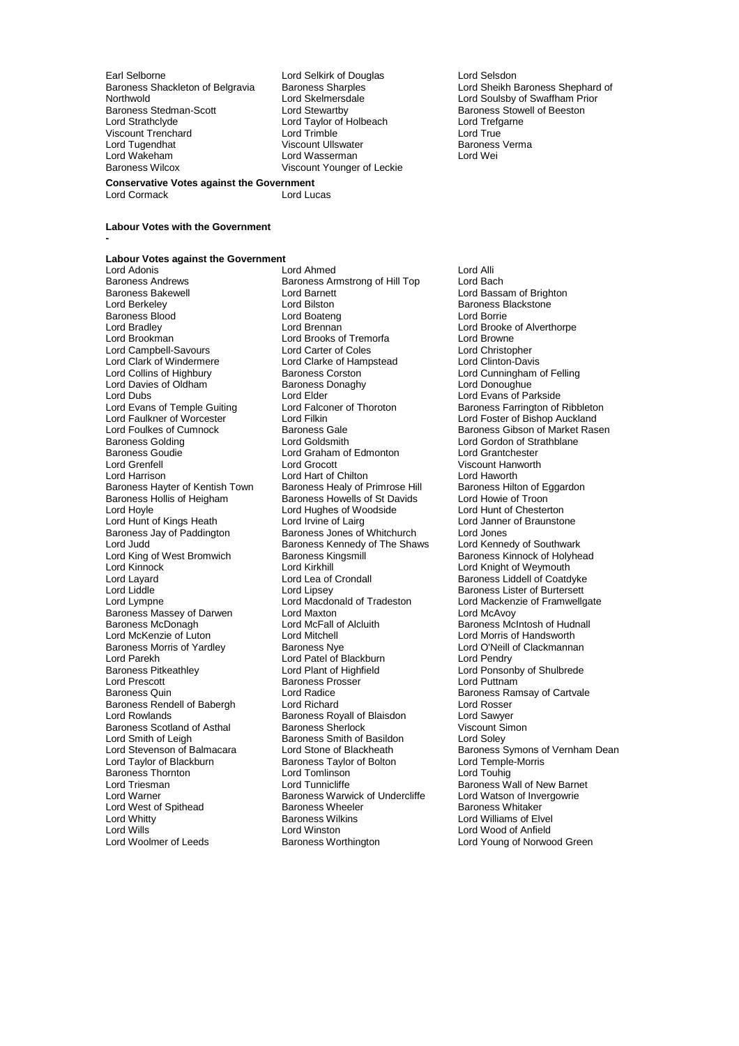Earl Selborne **Lord Selkirk of Douglas** Lord Selsdon<br>Baroness Shackleton of Belgravia Baroness Sharples **Lord Sheikh E** Northwold Lord Skelmersdale Lord Soulsby of Swaffham Prior Baroness Stedman-Scott **Lord Stewartby** Baroness Stowell of Beeston<br>
Lord Strathclyde **Baroness**<br>
Lord Trefgarne Viscount Trenchard Lord Trimble Lord True Lord Tugendhat Viscount Ullswater Baroness Verma Lord Wakeham Lord Wasserman Raroness Wilcox Controller Controller Lord Wasserman Discount Younger

Lord Cormack

**-**

Lord Taylor of Holbeach Lord Trefg<br>
Lord Trimble Lord Trefg<br>
Lord True Viscount Younger of Leckie

Baroness Shackleton of Belgravia Baroness Sharples Lord Sheikh Baroness Shephard of<br>
Lord Sheikh Baroness Shephard of Lord Sheikh Baroness Shephard of Swaffham Prior

# **Labour Votes with the Government**

**Conservative Votes against the Government**

**Labour Votes against the Government** Lord Adonis **Lord Alliform Controller Controller** Lord Alliform Cord Alliform Cord Alliform Cord Alliform Cord Alliform Cord Bach<br>
Baroness Amstrong of Hill Top Lord Bach Baroness Andrews **Baroness Armstrong of Hill Top**<br>Baroness Bakewell **Baroness** Lord Barnett Baroness Blood Lord Boateng<br>
Lord Bradley Lord Brennan Lord Clark of Windermere Lord Clarke of Hampstead<br>
Lord Collins of Highbury Baroness Corston Lord Davies of Oldham Baroness I<br>
Lord Dubs<br>
Lord Elder Baroness Goudie **Communist Construction Construction**<br>
Lord Greenfell<br>
Lord Grocott Baroness Massey of Darwen Lord Maxton<br>
Baroness McDonagh Lord McFall of Alcluith Lord McKenzie of Luton Lord Mitchell<br>
Baroness Morris of Yardley Baroness Nye Lord Parekh Lord Patel of Blackburn<br>Baroness Pitkeathley Lord Plant of Highfield Lord Prescott **Baroness Prosser**<br>
Baroness Quin **Baroness**<br>
Lord Radice Lord Smith of Leigh Baroness Smith of Basildon<br>
Lord Stevenson of Balmacara Lord Stone of Blackheath **Baroness Thornton Lord Tomlinson Lord Tomlinson Lord Tomlinson Lord Tunnicliffe** Lord West of Spithead<br>Lord Whitty

Baroness Bakewell **Lord Barnett** Lord Baroness Bakewell **Lord Baroness Blackstone**<br>
Lord Baroness Blackstone<br>
Lord Baroness Blackstone Lord Bilston **Baroness Blackstone**<br> **Lord Boateng**<br> **Lord Boateng** Lord Bradley Lord Brennan Lord Brooke of Alverthorpe Lord Brooks of Tremorfa<br>
Lord Carter of Coles

Lord Christopher Lord Campbell-Savours Lord Carter of Coles Lord Christopher **Baroness Corston Lord Cunningham of Felling<br>
Baroness Donaghy Lord Donoughue** Lord Dubs<br>
Lord Evans of Temple Guiting Lord Elder Lord Evans of Parkside<br>
Lord Evans of Temple Guiting Lord Falconer of Thoroton Baroness Farrington of Lord Evans of Temple Guiting Lord Falconer of Thoroton Baroness Farrington of Ribbleton<br>Lord Faulkner of Worcester Lord Filkin Lord Foster of Bishop Auckland Lord Faulkner of Worcester The Lord Filkin Lord Ford Foster of Bishop Auckland<br>Lord Foulkes of Cumnock The Baroness Gale The Baroness Gibson of Market Ras Baroness Golding **Communist Conditaination** Lord Goldsmith **Lord Gordon of Strathblane**<br>
Lord Graham of Edmonton **Conditaination**<br>
Lord Grantchester Lord Grenfell Lord Grocott Viscount Hanworth Lord Harrison **Lord Hart of Chilton** Lord Haworth Lord Haworth<br>Baroness Hayter of Kentish Town Baroness Healy of Primrose Hill Baroness Hilton of Eggardon Baroness Hayter of Kentish Town Baroness Healy of Primrose Hill Baroness Hilton of Eggardon Baroness Hilton of<br>Baroness Hollis of Heigham Baroness Howells of St Davids Lord Howie of Troon Baroness Hollis of Heigham Baroness Howells of St Davids Lord Howie of Troon Lord Hughes of Woodside<br>
Lord Irvine of Lairg<br>
Lord Janner of Braunstone Lord Hunt of Kings Heath Lord Irvine of Lairg Cord Janner Cord Janner<br>Baroness Jay of Paddington Baroness Jones of Whitchurch Lord Jones Baroness Jay of Paddington Baroness Jones of Whitchurch Lord Jones<br>Lord Judd Lord Judd Baroness Kennedy of The Shaws Lord Kennedy of Southwark Lord Judd **Baroness Kennedy of The Shaws**<br>
Lord King of West Bromwich Baroness Kingsmill Lord King of West Bromwich **Baroness Kingsmill** Baroness Kinnock of Holyhead<br>
Lord Kinnock **Baroness Kingsmill** Baroness Kinnock of Weymouth Lord Kinnock **Lord Kirkhill** Lord Knight of Weymouth<br>
Lord Layard **Lord Lord Lea of Crondall** Baroness Liddell of Coatd Lord Layard Lord Lea of Crondall Baroness Liddell of Coatdyke<br>
Lord Liddle Lord Lipsey Lord Coatdyke Baroness Lister of Burtersett Lord Lipsey<br>
Lord Macdonald of Tradeston<br>
Lord Mackenzie of Framwellg Lord Lympne Lord Macdonald of Tradeston Lord Mackenzie of Framwellgate<br>
Baroness Massey of Darwen Lord Maxton Lord Mackenzie Cord McAvoy Lord McFall of Alcluith Baroness McIntosh of Hudnall<br>
Lord Mitchell Cord Morris of Handsworth Baroness Morris of Yardley **Baroness Nye Communist Clackmannan**<br>
Lord Parekh **Clackmannan**<br>
Lord Parekh Communist Communist Communist Communist Communist Communist Communist Communist Communist Communist Lord Radice<br>
Lord Richard<br>
Lord Richard<br>
Lord Rosser Baroness Rendell of Babergh Lord Richard Lord Rosser Baroness Royall of Blaisdon<br>
Baroness Sherlock<br>
Viscount Simon Baroness Scotland of Asthal Baroness Sherlock Viscount Simoness Sherlock Viscount Simoness Smith of Basildon Lord Soley Lord Taylor of Blackburn **Baroness Taylor of Bolton** Lord Temple-<br>Baroness Thornton **Baroness Thornton** Lord Touhig Lord Triesman **Lord Tunnicliffe** Baroness Wall of New Barnet<br>Lord Warner **Lord Warness Warness Warwick of Undercliffe** Lord Watson of Invergowrie Baroness Warwick of Undercliffe Lord Watson of Invergoness Whitaker Lord Whitty **Communist Communist Communist Communist Communist Communist Communist Communist Communist Communist Communist Communist Communist Communist Communist Communist Communist Communist Communist Communist Communist** Lord Wills<br>
Lord Woolmer of Leeds<br>
Lord Woolmer of Leeds<br>
Baroness Worthington<br>
Lord Woolmer of Leeds<br>
Baroness Worthington<br>
Lord Woolmer of Norwo

Lord Foulkes of Cumnock **Baroness Gale Cumnock** Baroness Gibson of Market Rasen<br>Baroness Golding **Baroness Colding** Lord Goldsmith **Baroness Colding** Lord Gordon of Strathblane Lord Ponsonby of Shulbrede<br>Lord Puttnam Lord Stone of Blackheath Baroness Symons of Vernham Dean<br>Baroness Taylor of Bolton Lord Temple-Morris Lord Young of Norwood Green